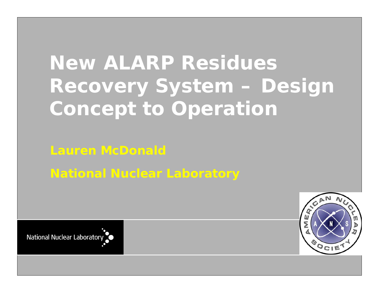# **New ALARP Residues Recovery System – Design Concept to Operation**

# **Lauren McDonald National Nuclear Laboratory**

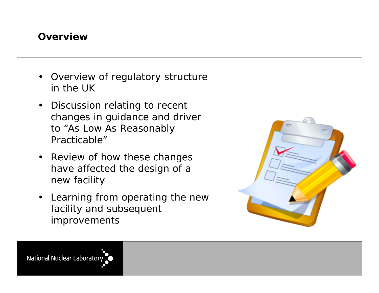#### **Overview**

- Overview of regulatory structure in the UK
- Discussion relating to recent changes in guidance and driver to "As Low As Reasonably Practicable"
- Review of how these changes have affected the design of a new facility
- Learning from operating the new facility and subsequent improvements

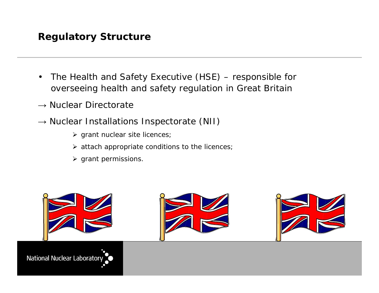#### **Regulatory Structure**

- The Health and Safety Executive (HSE) responsible for overseeing health and safety regulation in Great Britain
- $\rightarrow$  Nuclear Directorate
- $\rightarrow$  Nuclear Installations Inspectorate (NII)
	- $\triangleright$  grant nuclear site licences;
	- $\triangleright$  attach appropriate conditions to the licences;
	- $\triangleright$  grant permissions.

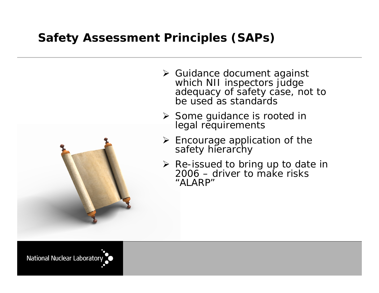#### **Safety Assessment Principles (SAPs)**



- **≻** Guidance document against which NII inspectors judge adequacy of safety case, not to be used as standards
- **≻** Some guidance is rooted in legal requirements
- $\triangleright$  Encourage application of the safety hierarchy
- **EXA** Re-issued to bring up to date in 2006 – driver to make risks "ALARP"

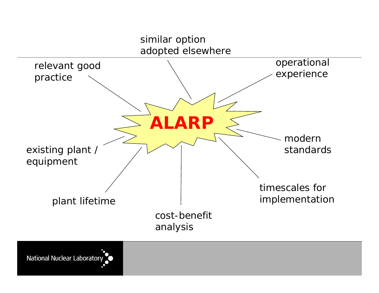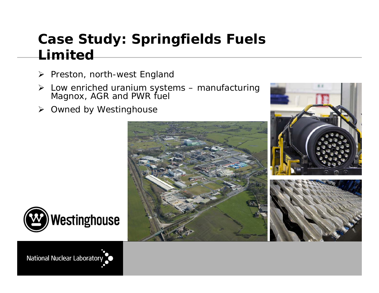# **Case Study: Springfields Fuels Limited**

- ➤ Preston, north-west England
- Low enriched uranium systems manufacturing Magnox, AGR and PWR fuel
- **▶ Owned by Westinghouse**







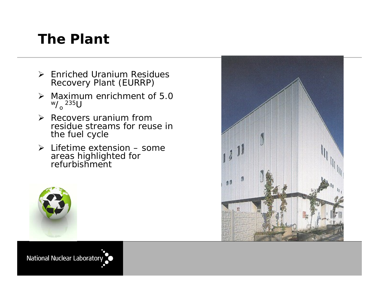## **The Plant**

- Enriched Uranium Residues Recovery Plant (EURRP)
- $\triangleright$  Maximum enrichment of 5.0 w  $\rm \mathcal{N}_o$  235U
- $\triangleright$  Recovers uranium from residue streams for reuse in the fuel cycle
- $\triangleright$  Lifetime extension some areas highlighted for refurbishment



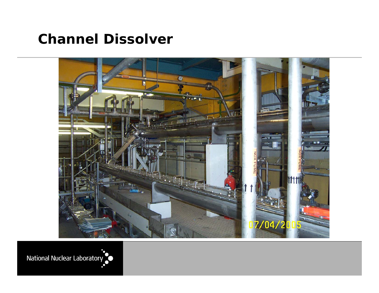### **Channel Dissolver**



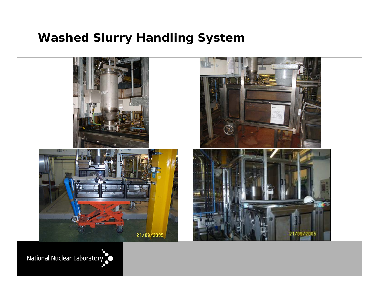#### **Washed Slurry Handling System**

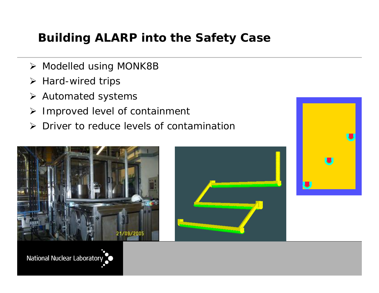### **Building ALARP into the Safety Case**

- Modelled using MONK8B
- $\triangleright$  Hard-wired trips
- **≻** Automated systems
- $\blacktriangleright$ Improved level of containment
- $\blacktriangleright$ Driver to reduce levels of contamination





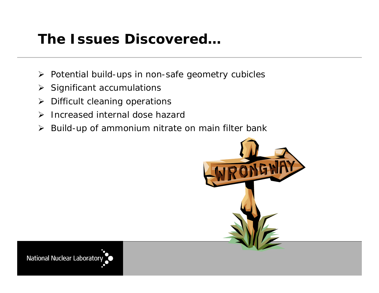## **The Issues Discovered…**

- > Potential build-ups in non-safe geometry cubicles
- $\triangleright$  Significant accumulations
- ➤ Difficult cleaning operations
- $\blacktriangleright$ Increased internal dose hazard
- $\blacktriangleright$ Build-up of ammonium nitrate on main filter bank

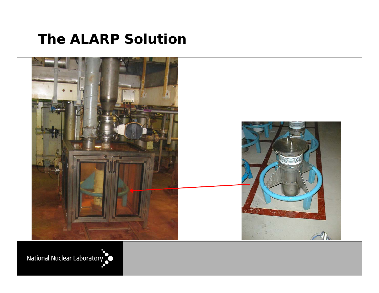### **The ALARP Solution**